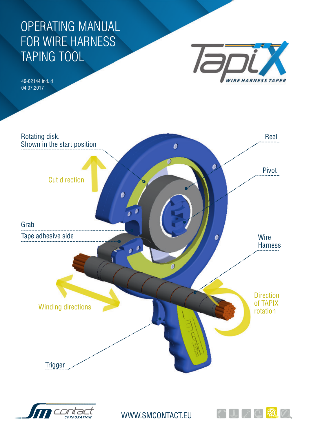## OPERATING MANUAL FOR WIRE HARNESS TAPING TOOL

49-02144 ind. d 04.07.2017







WWW.SMCONTACT.EU